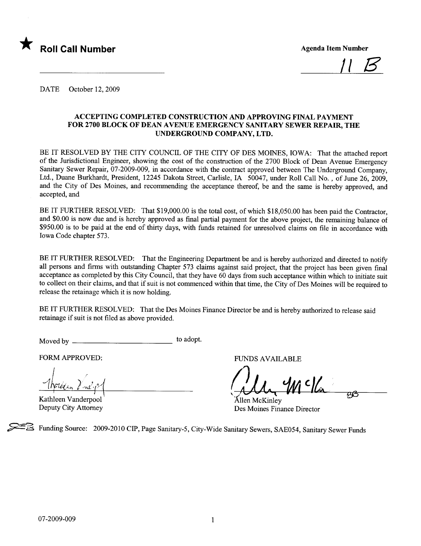

<u>|| B</u>

DATE October 12, 2009

# ACCEPTING COMPLETED CONSTRUCTION AND APPROVING FINAL PAYMENT FOR 2700 BLOCK OF DEAN AVENUE EMERGENCY SANITARY SEWER REPAIR, THE UNDERGROUND COMPANY, LTD.

BE IT RESOLVED BY THE CITY COUNCIL OF THE CITY OF DES MOINES, IOWA: That the attached report of the Jurisdictional Engineer, showing the cost of the construction of the 2700 Block of Dean Avenue Emergency Sanitary Sewer Repair, 07-2009-009, in accordance with the contract approved between The Underground Company, Ltd., Duane Burkhardt, President, 12245 Dakota Street, Carlisle, IA 50047, under Roll Call No. , of June 26, 2009, and the City of Des Moines, and recommending the acceptance thereof, be and the same is hereby approved, and accepted, and

BE IT FURTHER RESOLVED: That \$19,000.00 is the total cost, of which \$18,050.00 has been paid the Contractor, and \$0.00 is now due and is hereby approved as final parial payment for the above project, the remaining balance of \$950.00 is to be paid at the end of thirty days, with funds retained for unresolved claims on file in accordance with Iowa Code chapter 573.

BE IT FURTHER RESOLVED: That the Engineering Department be and is hereby authorized and directed to notify all persons and firms with outstanding Chapter 573 claims against said project, that the project has been given final acceptance as completed by this City Council, that they have 60 days from such acceptance within which to initiate suit to collect on their claims, and that if suit is not commenced within that time, the City of Des Moines will be required to release the retainage which it is now holding.

BE IT FURTHER RESOLVED: That the Des Moines Finance Director be and is hereby authorized to release said retainage if suit is not fied as above provided.

Moved by to adopt.

FORM APPROVED: FUNDS AVAILABLE <u> Nordean Vine p</u>

Kathleen Vanderpool Deputy City Attorney

(Un Mello rd

Ãllen McKinley Des Moines Finance Director

~ Funding Source: 2009-2010 CIP, Page Sanitary-5, City-Wide Sanitary Sewers, SAE054, Sanitary Sewer Funds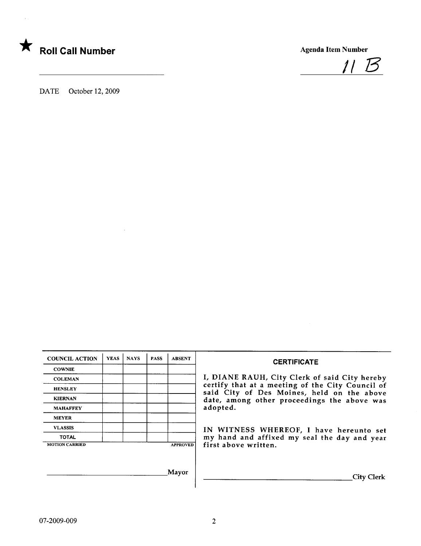



DATE October 12, 2009

| <b>COUNCIL ACTION</b> | <b>YEAS</b> | <b>NAYS</b>     | <b>PASS</b> | <b>ABSENT</b> |
|-----------------------|-------------|-----------------|-------------|---------------|
| <b>COWNIE</b>         |             |                 |             |               |
| <b>COLEMAN</b>        |             |                 |             |               |
| <b>HENSLEY</b>        |             |                 |             |               |
| <b>KIERNAN</b>        |             |                 |             |               |
| <b>MAHAFFEY</b>       |             |                 |             |               |
| <b>MEYER</b>          |             |                 |             |               |
| <b>VLASSIS</b>        |             |                 |             |               |
| <b>TOTAL</b>          |             |                 |             |               |
| <b>MOTION CARRIED</b> |             | <b>APPROVED</b> |             |               |

# **CERTIFICATE**

I, DIANE RAUH, City Clerk of said City hereby certify that at a meeting of the City Council of said City of Des Moines, held on the above date, among other proceedings the above was adopted.

VLASSIS IN WITNESS WHEREOF, <sup>I</sup> have hereunto set TOTAL **TOTAL** my hand and affixed my seal the day and year first above written.

Mayor City Clerk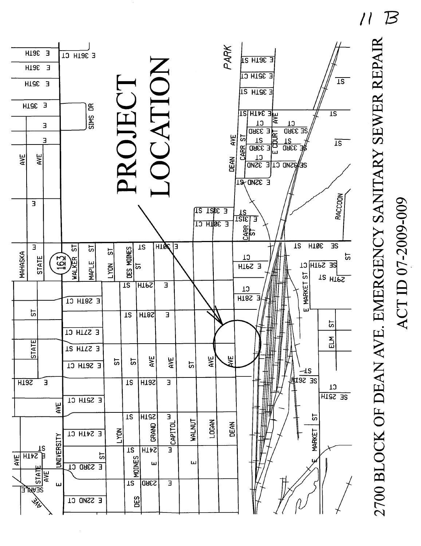



ACT ID 07-2009-009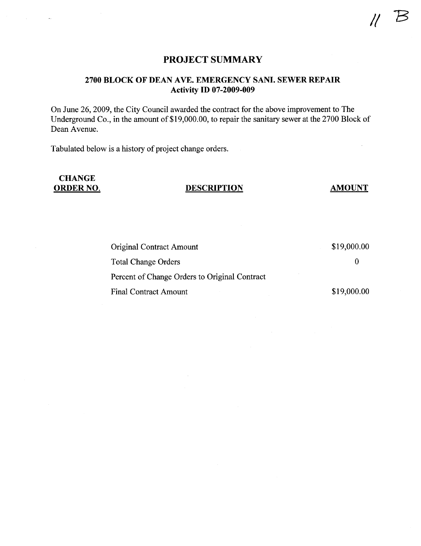# PROJECT SUMMARY

# 2700 BLOCK OF DEAN AVE. EMERGENCY SANI. SEWER REPAIR Activity ID 07-2009-009

On June 26, 2009, the City Council awarded the contract for the above improvement to The Underground Co., in the amount of \$19,000.00, to repair the sanitary sewer at the 2700 Block of Dean Avenue.

Tabulated below is a history of project change orders.

# **CHANGE**

# ORDER NO. DESCRIPTION AMOUNT

| <b>Original Contract Amount</b>               | \$19,000.00 |  |  |  |  |
|-----------------------------------------------|-------------|--|--|--|--|
| <b>Total Change Orders</b>                    |             |  |  |  |  |
| Percent of Change Orders to Original Contract |             |  |  |  |  |
| <b>Final Contract Amount</b>                  | \$19,000.00 |  |  |  |  |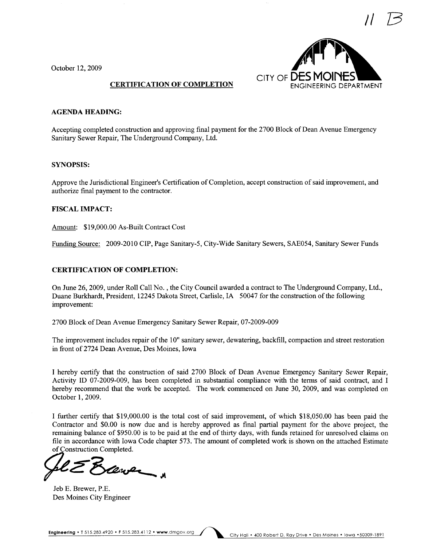

October 12, 2009

## CERTIFICATION OF COMPLETION

### AGENDA HEADING:

Accepting completed construction and approving final payment for the 2700 Block of Dean Avenue Emergency Sanitary Sewer Repair, The Underground Company, Ltd.

### SYNOPSIS:

Approve the Jurisdictional Engineer's Certification of Completion, accept construction of said improvement, and authorize final payment to the contractor.

### FISCAL IMPACT:

Amount: \$19,000.00 As-Built Contract Cost

Funding Source: 2009-2010 CIP, Page Sanitary-5, City-Wide Sanitary Sewers, SAE054, Sanitary Sewer Funds

### CERTIFICATION OF COMPLETION:

On June 26, 2009, under Roll Call No. , the City Council awarded a contract to The Underground Company, Ltd., Duane Burkhardt, President, 12245 Dakota Street, Carlisle, IA 50047 for the construction of the following improvement:

2700 Block of Dean Avenue Emergency Sanitary Sewer Repair, 07-2009-009

The improvement includes repair of the 10" sanitary sewer, dewatering, backfill, compaction and street restoration in front of 2724 Dean Avenue, Des Moines, Iowa

I hereby certify that the construction of said 2700 Block of Dean Avenue Emergency Sanitary Sewer Repair, Activity ID 07-2009-009, has been completed in substantial compliance with the terms of said contract, and I hereby recommend that the work be accepted. The work commenced on June 30, 2009, and was completed on October 1, 2009.

I further certify that \$19,000.00 is the total cost of said improvement, of which \$18,050.00 has been paid the Contractor and \$0.00 is now due and is hereby approved as final parial payment for the above project, the remaining balance of \$950.00 is to be paid at the end of thirty days, with funds retained for unresolved claims on file in accordance with Iowa Code chapter 573. The amount of completed work is shown on the attached Estimate of Construction Completed.

of Construction Completed.<br>Construction Completed.

Jeb E. Brewer, P.E. Des Moines City Engineer